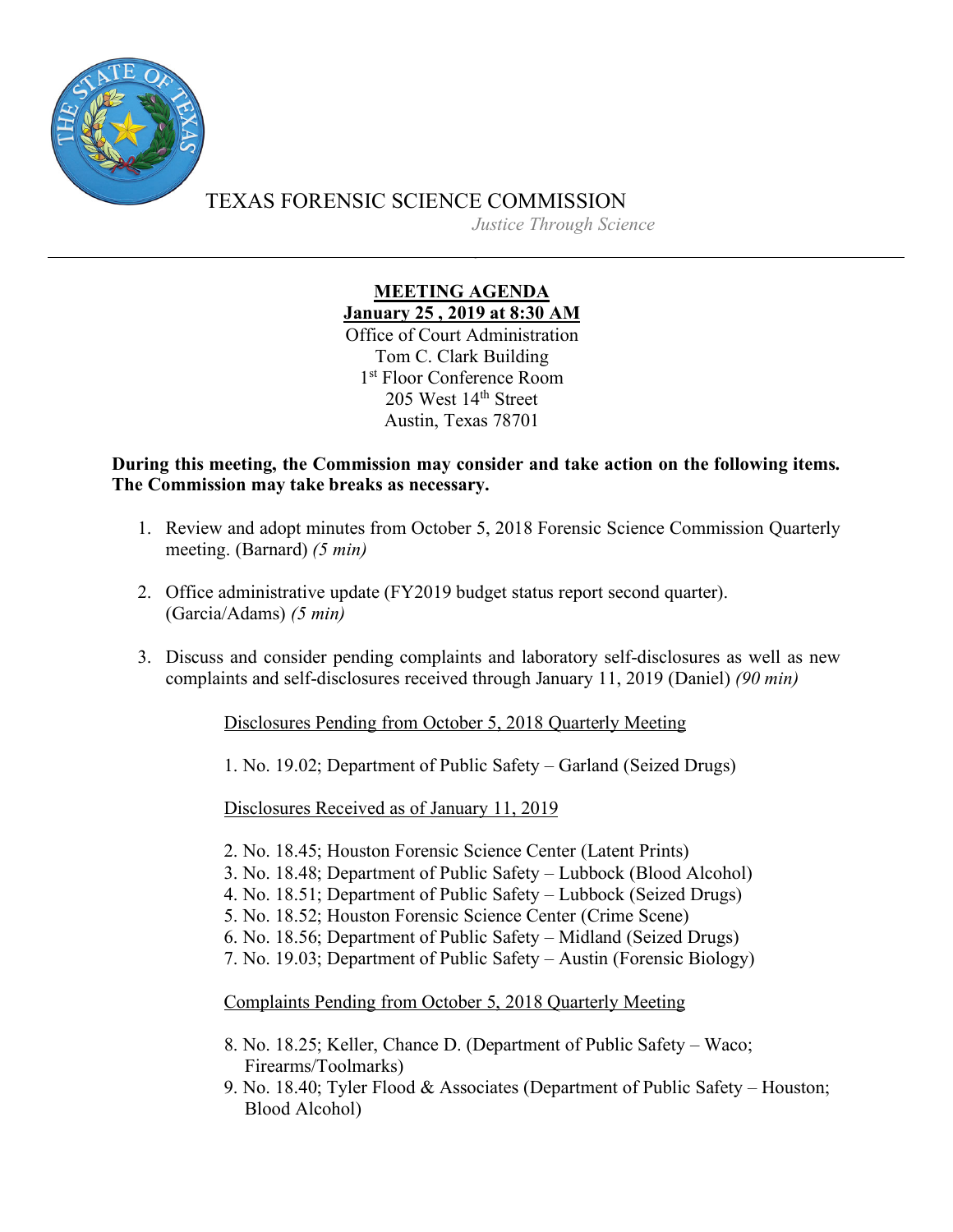

TEXAS FORENSIC SCIENCE COMMISSION *Justice Through Science*

## **MEETING AGENDA January 25 , 2019 at 8:30 AM** Office of Court Administration Tom C. Clark Building

1<sup>st</sup> Floor Conference Room 205 West 14<sup>th</sup> Street Austin, Texas 78701

**During this meeting, the Commission may consider and take action on the following items. The Commission may take breaks as necessary.**

- 1. Review and adopt minutes from October 5, 2018 Forensic Science Commission Quarterly meeting. (Barnard) *(5 min)*
- 2. Office administrative update (FY2019 budget status report second quarter). (Garcia/Adams) *(5 min)*
- 3. Discuss and consider pending complaints and laboratory self-disclosures as well as new complaints and self-disclosures received through January 11, 2019 (Daniel) *(90 min)*

## Disclosures Pending from October 5, 2018 Quarterly Meeting

1. No. 19.02; Department of Public Safety – Garland (Seized Drugs)

Disclosures Received as of January 11, 2019

- 2. No. 18.45; Houston Forensic Science Center (Latent Prints)
- 3. No. 18.48; Department of Public Safety Lubbock (Blood Alcohol)
- 4. No. 18.51; Department of Public Safety Lubbock (Seized Drugs)
- 5. No. 18.52; Houston Forensic Science Center (Crime Scene)
- 6. No. 18.56; Department of Public Safety Midland (Seized Drugs)
- 7. No. 19.03; Department of Public Safety Austin (Forensic Biology)

Complaints Pending from October 5, 2018 Quarterly Meeting

- 8. No. 18.25; Keller, Chance D. (Department of Public Safety Waco; Firearms/Toolmarks)
- 9. No. 18.40; Tyler Flood & Associates (Department of Public Safety Houston; Blood Alcohol)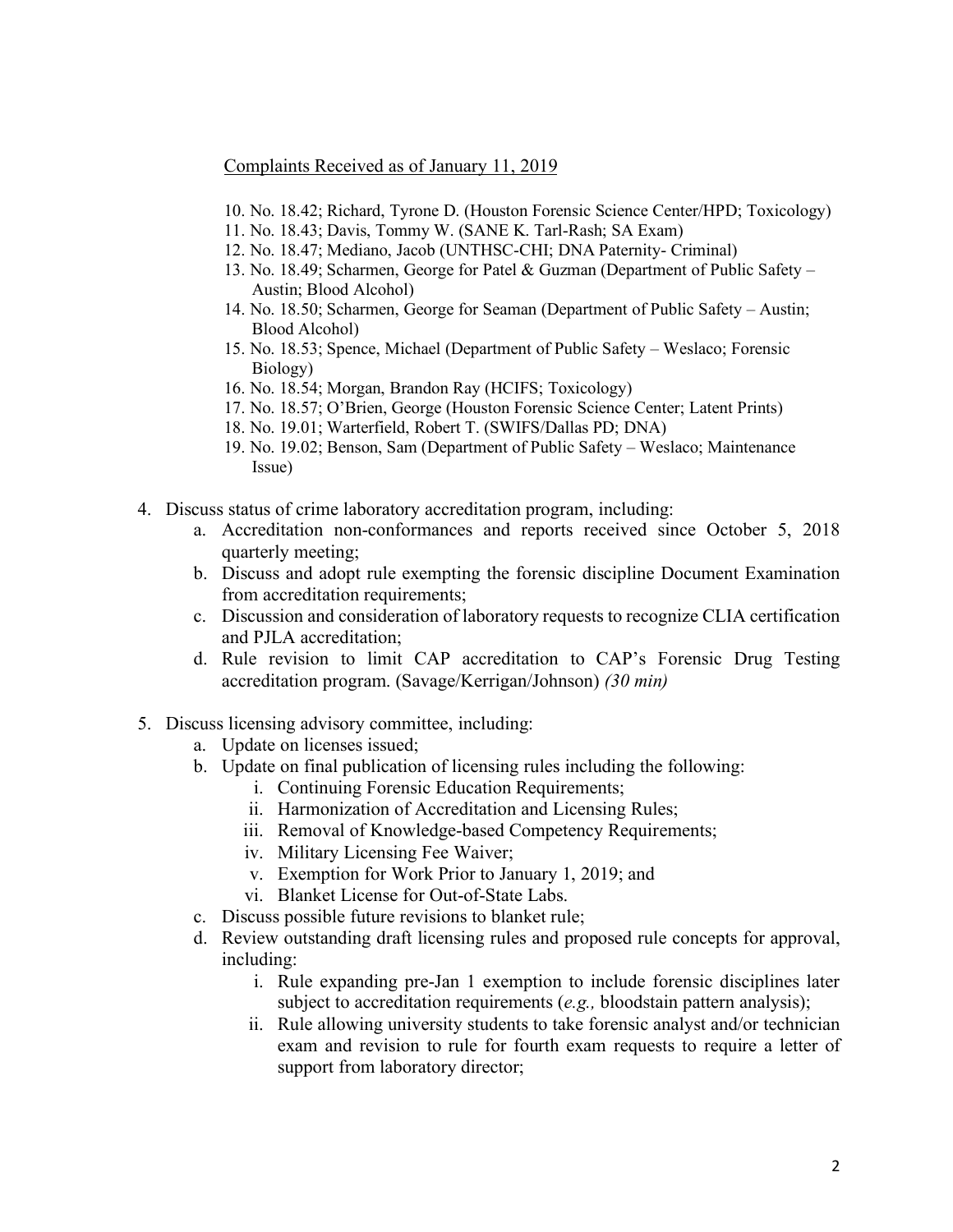## Complaints Received as of January 11, 2019

- 10. No. 18.42; Richard, Tyrone D. (Houston Forensic Science Center/HPD; Toxicology)
- 11. No. 18.43; Davis, Tommy W. (SANE K. Tarl-Rash; SA Exam)
- 12. No. 18.47; Mediano, Jacob (UNTHSC-CHI; DNA Paternity- Criminal)
- 13. No. 18.49; Scharmen, George for Patel & Guzman (Department of Public Safety Austin; Blood Alcohol)
- 14. No. 18.50; Scharmen, George for Seaman (Department of Public Safety Austin; Blood Alcohol)
- 15. No. 18.53; Spence, Michael (Department of Public Safety Weslaco; Forensic Biology)
- 16. No. 18.54; Morgan, Brandon Ray (HCIFS; Toxicology)
- 17. No. 18.57; O'Brien, George (Houston Forensic Science Center; Latent Prints)
- 18. No. 19.01; Warterfield, Robert T. (SWIFS/Dallas PD; DNA)
- 19. No. 19.02; Benson, Sam (Department of Public Safety Weslaco; Maintenance Issue)
- 4. Discuss status of crime laboratory accreditation program, including:
	- a. Accreditation non-conformances and reports received since October 5, 2018 quarterly meeting;
	- b. Discuss and adopt rule exempting the forensic discipline Document Examination from accreditation requirements;
	- c. Discussion and consideration of laboratory requests to recognize CLIA certification and PJLA accreditation;
	- d. Rule revision to limit CAP accreditation to CAP's Forensic Drug Testing accreditation program. (Savage/Kerrigan/Johnson) *(30 min)*
- 5. Discuss licensing advisory committee, including:
	- a. Update on licenses issued;
	- b. Update on final publication of licensing rules including the following:
		- i. Continuing Forensic Education Requirements;
			- ii. Harmonization of Accreditation and Licensing Rules;
		- iii. Removal of Knowledge-based Competency Requirements;
		- iv. Military Licensing Fee Waiver;
		- v. Exemption for Work Prior to January 1, 2019; and
		- vi. Blanket License for Out-of-State Labs.
	- c. Discuss possible future revisions to blanket rule;
	- d. Review outstanding draft licensing rules and proposed rule concepts for approval, including:
		- i. Rule expanding pre-Jan 1 exemption to include forensic disciplines later subject to accreditation requirements (*e.g.,* bloodstain pattern analysis);
		- ii. Rule allowing university students to take forensic analyst and/or technician exam and revision to rule for fourth exam requests to require a letter of support from laboratory director;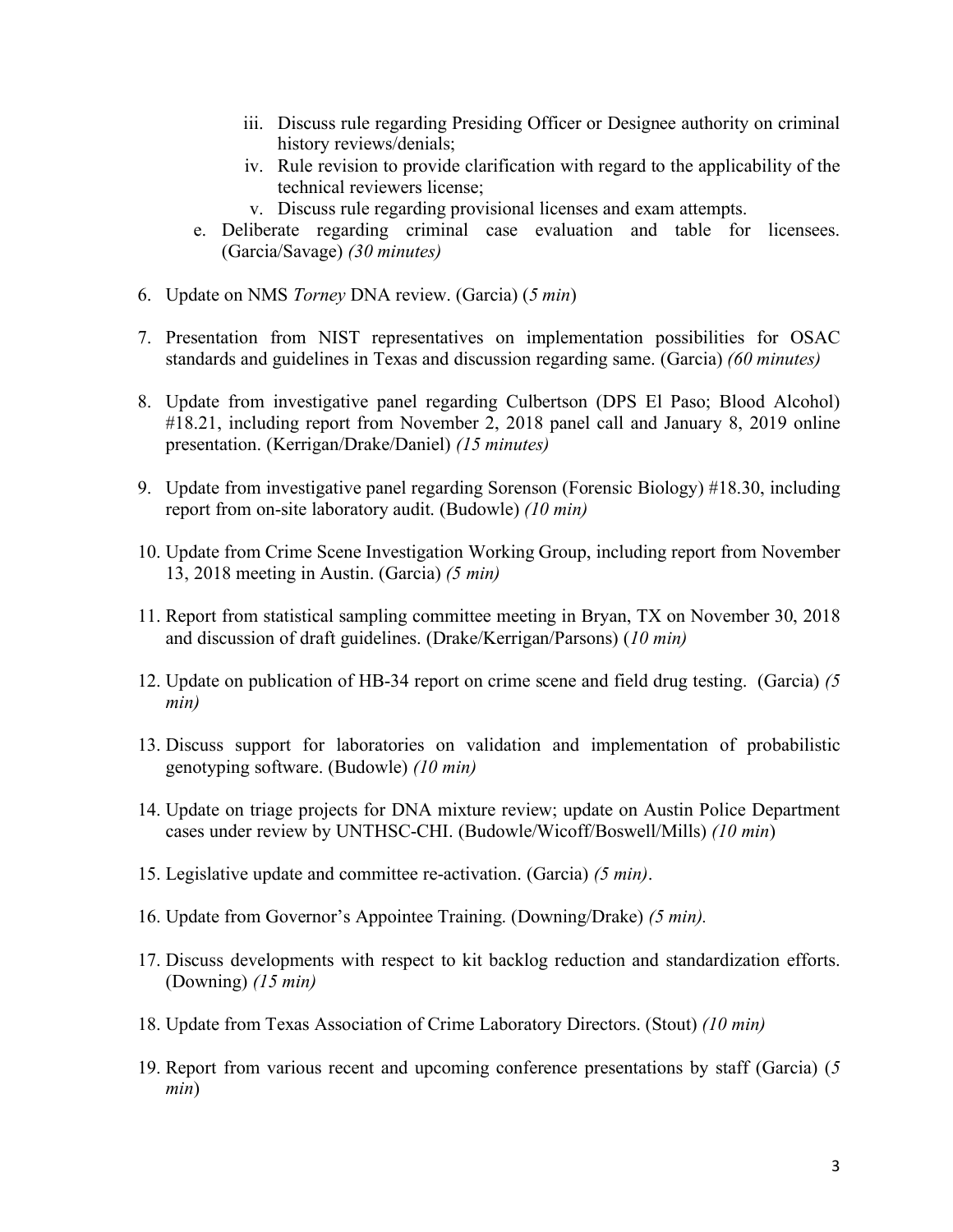- iii. Discuss rule regarding Presiding Officer or Designee authority on criminal history reviews/denials;
- iv. Rule revision to provide clarification with regard to the applicability of the technical reviewers license;
- v. Discuss rule regarding provisional licenses and exam attempts.
- e. Deliberate regarding criminal case evaluation and table for licensees. (Garcia/Savage) *(30 minutes)*
- 6. Update on NMS *Torney* DNA review. (Garcia) (*5 min*)
- 7. Presentation from NIST representatives on implementation possibilities for OSAC standards and guidelines in Texas and discussion regarding same. (Garcia) *(60 minutes)*
- 8. Update from investigative panel regarding Culbertson (DPS El Paso; Blood Alcohol) #18.21, including report from November 2, 2018 panel call and January 8, 2019 online presentation. (Kerrigan/Drake/Daniel) *(15 minutes)*
- 9. Update from investigative panel regarding Sorenson (Forensic Biology) #18.30, including report from on-site laboratory audit. (Budowle) *(10 min)*
- 10. Update from Crime Scene Investigation Working Group, including report from November 13, 2018 meeting in Austin. (Garcia) *(5 min)*
- 11. Report from statistical sampling committee meeting in Bryan, TX on November 30, 2018 and discussion of draft guidelines. (Drake/Kerrigan/Parsons) (*10 min)*
- 12. Update on publication of HB-34 report on crime scene and field drug testing. (Garcia) *(5 min)*
- 13. Discuss support for laboratories on validation and implementation of probabilistic genotyping software. (Budowle) *(10 min)*
- 14. Update on triage projects for DNA mixture review; update on Austin Police Department cases under review by UNTHSC-CHI. (Budowle/Wicoff/Boswell/Mills) *(10 min*)
- 15. Legislative update and committee re-activation. (Garcia) *(5 min)*.
- 16. Update from Governor's Appointee Training. (Downing/Drake) *(5 min).*
- 17. Discuss developments with respect to kit backlog reduction and standardization efforts. (Downing) *(15 min)*
- 18. Update from Texas Association of Crime Laboratory Directors. (Stout) *(10 min)*
- 19. Report from various recent and upcoming conference presentations by staff (Garcia) (*5 min*)